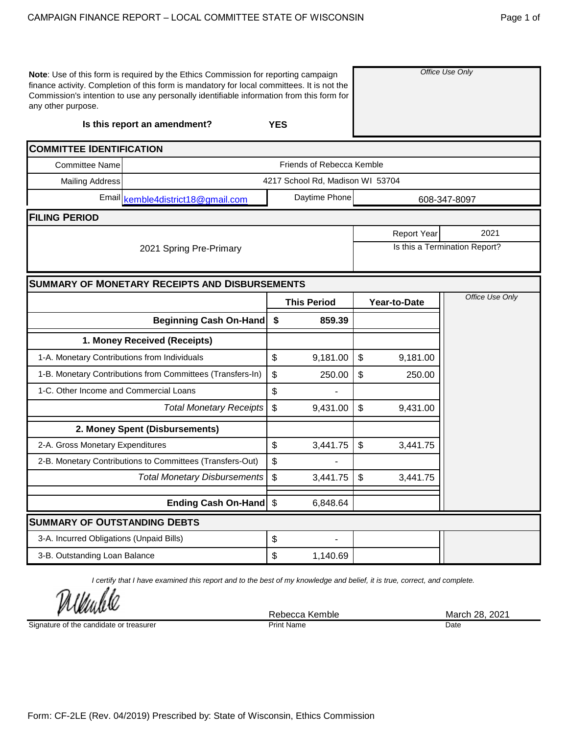| any other purpose.                           | Note: Use of this form is required by the Ethics Commission for reporting campaign<br>finance activity. Completion of this form is mandatory for local committees. It is not the<br>Commission's intention to use any personally identifiable information from this form for |                                           |                                  | Office Use Only |                    |                               |
|----------------------------------------------|------------------------------------------------------------------------------------------------------------------------------------------------------------------------------------------------------------------------------------------------------------------------------|-------------------------------------------|----------------------------------|-----------------|--------------------|-------------------------------|
|                                              | Is this report an amendment?                                                                                                                                                                                                                                                 | <b>YES</b>                                |                                  |                 |                    |                               |
| <b>COMMITTEE IDENTIFICATION</b>              |                                                                                                                                                                                                                                                                              |                                           |                                  |                 |                    |                               |
| <b>Committee Name</b>                        |                                                                                                                                                                                                                                                                              |                                           | Friends of Rebecca Kemble        |                 |                    |                               |
| <b>Mailing Address</b>                       |                                                                                                                                                                                                                                                                              |                                           | 4217 School Rd, Madison WI 53704 |                 |                    |                               |
|                                              | Email kemble4district18@gmail.com                                                                                                                                                                                                                                            |                                           | Daytime Phone                    |                 |                    | 608-347-8097                  |
| <b>FILING PERIOD</b>                         |                                                                                                                                                                                                                                                                              |                                           |                                  |                 |                    |                               |
|                                              |                                                                                                                                                                                                                                                                              |                                           |                                  |                 | <b>Report Year</b> | 2021                          |
|                                              | 2021 Spring Pre-Primary                                                                                                                                                                                                                                                      |                                           |                                  |                 |                    | Is this a Termination Report? |
|                                              | <b>SUMMARY OF MONETARY RECEIPTS AND DISBURSEMENTS</b>                                                                                                                                                                                                                        |                                           |                                  |                 |                    |                               |
|                                              |                                                                                                                                                                                                                                                                              |                                           | <b>This Period</b>               |                 | Year-to-Date       | Office Use Only               |
|                                              | <b>Beginning Cash On-Hand</b>                                                                                                                                                                                                                                                | \$                                        | 859.39                           |                 |                    |                               |
|                                              | 1. Money Received (Receipts)                                                                                                                                                                                                                                                 |                                           |                                  |                 |                    |                               |
| 1-A. Monetary Contributions from Individuals |                                                                                                                                                                                                                                                                              | \$                                        | 9,181.00                         | \$              | 9,181.00           |                               |
|                                              | 1-B. Monetary Contributions from Committees (Transfers-In)                                                                                                                                                                                                                   | \$                                        | 250.00                           | \$              | 250.00             |                               |
| 1-C. Other Income and Commercial Loans       |                                                                                                                                                                                                                                                                              | \$                                        |                                  |                 |                    |                               |
|                                              | <b>Total Monetary Receipts</b>                                                                                                                                                                                                                                               | $\boldsymbol{\mathsf{S}}$                 | 9,431.00                         | \$              | 9,431.00           |                               |
|                                              | 2. Money Spent (Disbursements)                                                                                                                                                                                                                                               |                                           |                                  |                 |                    |                               |
| 2-A. Gross Monetary Expenditures             |                                                                                                                                                                                                                                                                              | \$                                        | 3,441.75                         | \$              | 3,441.75           |                               |
|                                              | 2-B. Monetary Contributions to Committees (Transfers-Out)                                                                                                                                                                                                                    | \$                                        |                                  |                 |                    |                               |
|                                              | <b>Total Monetary Disbursements</b>                                                                                                                                                                                                                                          | $\boldsymbol{\mathsf{S}}$                 | 3,441.75                         | $\mathcal{L}$   | 3,441.75           |                               |
|                                              | Ending Cash On-Hand   \$                                                                                                                                                                                                                                                     |                                           | 6,848.64                         |                 |                    |                               |
| <b>SUMMARY OF OUTSTANDING DEBTS</b>          |                                                                                                                                                                                                                                                                              |                                           |                                  |                 |                    |                               |
| 3-A. Incurred Obligations (Unpaid Bills)     |                                                                                                                                                                                                                                                                              | \$                                        |                                  |                 |                    |                               |
| 3-B. Outstanding Loan Balance                |                                                                                                                                                                                                                                                                              | $\, \, \raisebox{12pt}{$\scriptstyle \$}$ | 1,140.69                         |                 |                    |                               |

*I certify that I have examined this report and to the best of my knowledge and belief, it is true, correct, and complete.*

Undl

Signature of the candidate or treasurer

Print Name Date

Rebecca Kemble March 28, 2021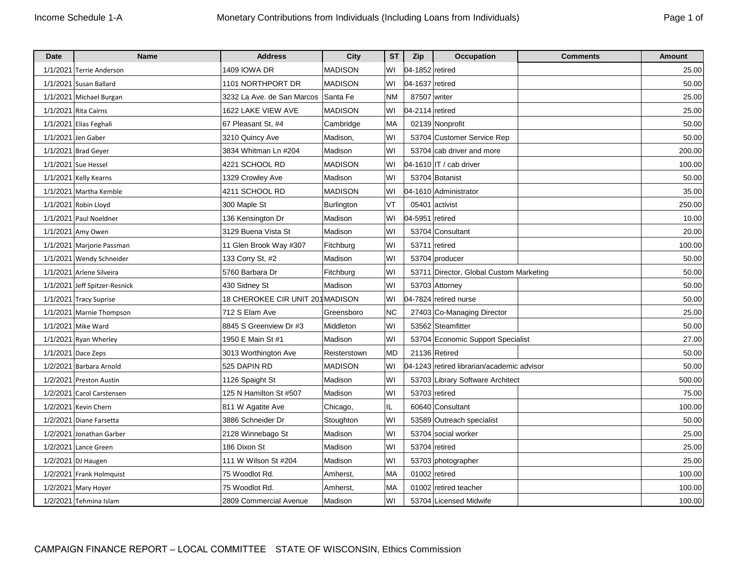| Date     | <b>Name</b>                | <b>Address</b>                   | City              | <b>ST</b> | Zip             | <b>Occupation</b>                          | <b>Comments</b> | <b>Amount</b> |
|----------|----------------------------|----------------------------------|-------------------|-----------|-----------------|--------------------------------------------|-----------------|---------------|
| 1/1/2021 | Terrie Anderson            | 1409 IOWA DR                     | MADISON           | W١        | 04-1852 retired |                                            |                 | 25.00         |
|          | 1/1/2021 Susan Ballard     | 1101 NORTHPORT DR                | <b>MADISON</b>    | WI        | 04-1637 retired |                                            |                 | 50.00         |
|          | 1/1/2021 Michael Burgan    | 3232 La Ave. de San Marcos       | Santa Fe          | <b>NM</b> | 87507 writer    |                                            |                 | 25.00         |
|          | 1/1/2021 Rita Cairns       | 1622 LAKE VIEW AVE               | <b>MADISON</b>    | WI        | 04-2114 retired |                                            |                 | 25.00         |
|          | 1/1/2021 Elias Feghali     | 67 Pleasant St, #4               | Cambridge         | MA        |                 | 02139 Nonprofit                            |                 | 50.00         |
| 1/1/2021 | Jen Gaber                  | 3210 Quincy Ave                  | Madison,          | WI        |                 | 53704 Customer Service Rep                 |                 | 50.00         |
|          | 1/1/2021 Brad Geyer        | 3834 Whitman Ln #204             | Madison           | WI        |                 | 53704 cab driver and more                  |                 | 200.00        |
|          | 1/1/2021 Sue Hessel        | 4221 SCHOOL RD                   | <b>MADISON</b>    | WI        |                 | 04-1610 IT / cab driver                    |                 | 100.00        |
|          | 1/1/2021 Kelly Kearns      | 1329 Crowley Ave                 | Madison           | WI        |                 | 53704 Botanist                             |                 | 50.00         |
|          | 1/1/2021 Martha Kemble     | 4211 SCHOOL RD                   | <b>MADISON</b>    | W١        |                 | 04-1610 Administrator                      |                 | 35.00         |
|          | 1/1/2021 Robin Lloyd       | 300 Maple St                     | <b>Burlington</b> | VT        |                 | 05401 activist                             |                 | 250.00        |
|          | 1/1/2021 Paul Noeldner     | 136 Kensington Dr                | Madison           | WI        | 04-5951 retired |                                            |                 | 10.00         |
|          | 1/1/2021 Amy Owen          | 3129 Buena Vista St              | Madison           | WI        |                 | 53704 Consultant                           |                 | 20.00         |
|          | 1/1/2021 Marjorie Passman  | 11 Glen Brook Way #307           | Fitchburg         | W١        |                 | 53711 retired                              |                 | 100.00        |
|          | 1/1/2021   Wendy Schneider | 133 Corry St, #2                 | Madison           | W١        |                 | 53704 producer                             |                 | 50.00         |
| 1/1/2021 | Arlene Silveira            | 5760 Barbara Dr                  | Fitchburg         | WI        |                 | 53711 Director, Global Custom Marketing    |                 | 50.00         |
| 1/1/2021 | Jeff Spitzer-Resnick       | 430 Sidney St                    | Madison           | WI        |                 | 53703 Attorney                             |                 | 50.00         |
|          | 1/1/2021 Tracy Suprise     | 18 CHEROKEE CIR UNIT 201 MADISON |                   | W١        |                 | 04-7824 retired nurse                      |                 | 50.00         |
|          | 1/1/2021 Marnie Thompson   | 712 S Elam Ave                   | Greensboro        | <b>NC</b> |                 | 27403 Co-Managing Director                 |                 | 25.00         |
|          | 1/1/2021 Mike Ward         | 8845 S Greenview Dr #3           | Middleton         | W١        |                 | 53562 Steamfitter                          |                 | 50.00         |
|          | 1/1/2021 Ryan Wherley      | 1950 E Main St #1                | Madison           | WI        |                 | 53704 Economic Support Specialist          |                 | 27.00         |
|          | $1/1/2021$ Dace Zeps       | 3013 Worthington Ave             | Reisterstown      | MD        |                 | 21136 Retired                              |                 | 50.00         |
|          | 1/2/2021 Barbara Arnold    | 525 DAPIN RD                     | <b>MADISON</b>    | WI        |                 | 04-1243 retired librarian/academic advisor |                 | 50.00         |
|          | 1/2/2021 Preston Austin    | 1126 Spaight St                  | Madison           | W١        |                 | 53703 Library Software Architect           |                 | 500.00        |
|          | 1/2/2021 Carol Carstensen  | 125 N Hamilton St #507           | Madison           | WI        |                 | 53703 retired                              |                 | 75.00         |
| 1/2/2021 | Kevin Chern                | 811 W Agatite Ave                | Chicago,          | IL        |                 | 60640 Consultant                           |                 | 100.00        |
|          | 1/2/2021 Diane Farsetta    | 3886 Schneider Dr                | Stoughton         | WI        |                 | 53589 Outreach specialist                  |                 | 50.00         |
| 1/2/2021 | Jonathan Garber            | 2128 Winnebago St                | Madison           | WI        |                 | 53704 social worker                        |                 | 25.00         |
|          | 1/2/2021 Lance Green       | 186 Dixon St                     | Madison           | W١        |                 | 53704 retired                              |                 | 25.00         |
|          | 1/2/2021 DJ Haugen         | 111 W Wilson St #204             | Madison           | W١        |                 | 53703 photographer                         |                 | 25.00         |
| 1/2/2021 | Frank Holmquist            | 75 Woodlot Rd.                   | Amherst.          | МA        |                 | $01002$ retired                            |                 | 100.00        |
|          | 1/2/2021 Mary Hoyer        | 75 Woodlot Rd.                   | Amherst,          | MA        |                 | 01002 retired teacher                      |                 | 100.00        |
|          | 1/2/2021 Tehmina Islam     | 2809 Commercial Avenue           | Madison           | WI        |                 | 53704 Licensed Midwife                     |                 | 100.00        |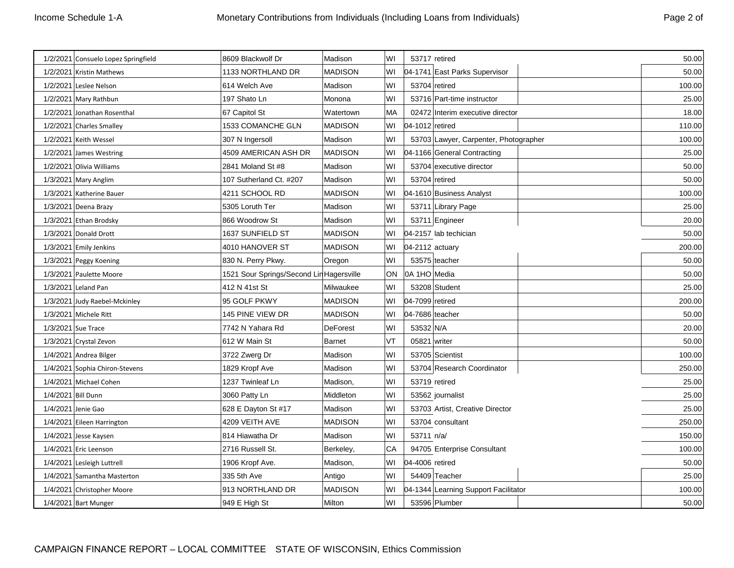| Page 2 | Ωf |
|--------|----|
|        |    |

|                    | 1/2/2021 Consuelo Lopez Springfield | 8609 Blackwolf Dr                        | Madison         | WI        |                 | 53717 retired                         | 50.00  |
|--------------------|-------------------------------------|------------------------------------------|-----------------|-----------|-----------------|---------------------------------------|--------|
|                    | 1/2/2021 Kristin Mathews            | 1133 NORTHLAND DR                        | <b>MADISON</b>  | WI        |                 | 04-1741 East Parks Supervisor         | 50.00  |
|                    | 1/2/2021 Leslee Nelson              | 614 Welch Ave                            | Madison         | WI        |                 | 53704 retired                         | 100.00 |
|                    | 1/2/2021 Mary Rathbun               | 197 Shato Ln                             | Monona          | WI        |                 | 53716 Part-time instructor            | 25.00  |
|                    | 1/2/2021 Jonathan Rosenthal         | 67 Capitol St                            | Watertown       | <b>MA</b> |                 | 02472 Interim executive director      | 18.00  |
|                    | 1/2/2021 Charles Smalley            | 1533 COMANCHE GLN                        | <b>MADISON</b>  | WI        | 04-1012 retired |                                       | 110.00 |
|                    | 1/2/2021 Keith Wessel               | 307 N Ingersoll                          | Madison         | WI        |                 | 53703 Lawyer, Carpenter, Photographer | 100.00 |
|                    | 1/2/2021 James Westring             | 4509 AMERICAN ASH DR                     | <b>MADISON</b>  | WI        |                 | 04-1166 General Contracting           | 25.00  |
|                    | 1/2/2021 Olivia Williams            | 2841 Moland St #8                        | Madison         | WI        |                 | 53704 executive director              | 50.00  |
|                    | 1/3/2021 Mary Anglim                | 107 Sutherland Ct. #207                  | Madison         | WI        |                 | 53704 retired                         | 50.00  |
|                    | 1/3/2021 Katherine Bauer            | 4211 SCHOOL RD                           | <b>MADISON</b>  | WI        |                 | 04-1610 Business Analyst              | 100.00 |
|                    | 1/3/2021 Deena Brazy                | 5305 Loruth Ter                          | Madison         | WI        |                 | 53711 Library Page                    | 25.00  |
|                    | 1/3/2021 Ethan Brodsky              | 866 Woodrow St                           | Madison         | WI        |                 | 53711 Engineer                        | 20.00  |
|                    | 1/3/2021 Donald Drott               | 1637 SUNFIELD ST                         | <b>MADISON</b>  | WI        |                 | 04-2157 lab techician                 | 50.00  |
|                    | 1/3/2021 Emily Jenkins              | 4010 HANOVER ST                          | <b>MADISON</b>  | WI        | 04-2112 actuary |                                       | 200.00 |
|                    | 1/3/2021 Peggy Koening              | 830 N. Perry Pkwy.                       | Oregon          | WI        |                 | 53575 teacher                         | 50.00  |
|                    | 1/3/2021 Paulette Moore             | 1521 Sour Springs/Second Lin Hagersville |                 | ON        | I0A 1HO Media   |                                       | 50.00  |
|                    | 1/3/2021 Leland Pan                 | 412 N 41st St                            | Milwaukee       | WI        |                 | 53208 Student                         | 25.00  |
|                    | 1/3/2021 Judy Raebel-Mckinley       | 95 GOLF PKWY                             | <b>MADISON</b>  | WI        | 04-7099 retired |                                       | 200.00 |
|                    | 1/3/2021 Michele Ritt               | 145 PINE VIEW DR                         | <b>MADISON</b>  | w١        | 04-7686 teacher |                                       | 50.00  |
|                    | 1/3/2021 Sue Trace                  | 7742 N Yahara Rd                         | <b>DeForest</b> | WI        | 53532 N/A       |                                       | 20.00  |
|                    | 1/3/2021 Crystal Zevon              | 612 W Main St                            | <b>Barnet</b>   | VT        | 05821 writer    |                                       | 50.00  |
|                    | 1/4/2021 Andrea Bilger              | 3722 Zwerg Dr                            | Madison         | WI        |                 | 53705 Scientist                       | 100.00 |
|                    | 1/4/2021 Sophia Chiron-Stevens      | 1829 Kropf Ave                           | Madison         | WI        |                 | 53704 Research Coordinator            | 250.00 |
|                    | 1/4/2021 Michael Cohen              | 1237 Twinleaf Ln                         | Madison,        | WI        |                 | 53719 retired                         | 25.00  |
| 1/4/2021 Bill Dunn |                                     | 3060 Patty Ln                            | Middleton       | WI        |                 | 53562 journalist                      | 25.00  |
|                    | 1/4/2021 Jenie Gao                  | 628 E Dayton St #17                      | Madison         | WI        |                 | 53703 Artist, Creative Director       | 25.00  |
|                    | 1/4/2021 Eileen Harrington          | 4209 VEITH AVE                           | <b>MADISON</b>  | WI        |                 | 53704 consultant                      | 250.00 |
|                    | 1/4/2021 Jesse Kaysen               | 814 Hiawatha Dr                          | Madison         | WI        | 53711 n/a/      |                                       | 150.00 |
|                    | 1/4/2021 Eric Leenson               | 2716 Russell St.                         | Berkeley,       | CA        |                 | 94705 Enterprise Consultant           | 100.00 |
|                    | 1/4/2021 Lesleigh Luttrell          | 1906 Kropf Ave.                          | Madison,        | WI        | 04-4006 retired |                                       | 50.00  |
|                    | 1/4/2021 Samantha Masterton         | 335 5th Ave                              | Antigo          | WI        |                 | 54409 Teacher                         | 25.00  |
|                    | 1/4/2021 Christopher Moore          | 913 NORTHLAND DR                         | <b>MADISON</b>  | W١        |                 | 04-1344 Learning Support Facilitator  | 100.00 |
|                    | 1/4/2021 Bart Munger                | 949 E High St                            | Milton          | WI        |                 | 53596 Plumber                         | 50.00  |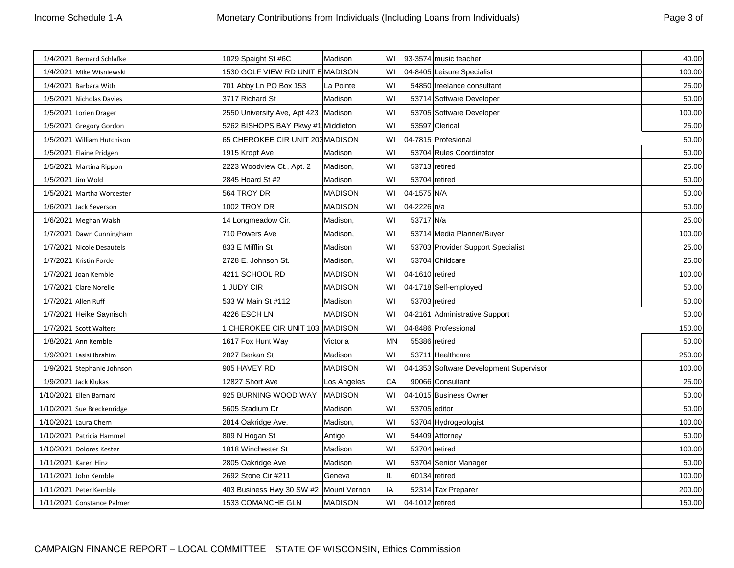| Page 3 of |  |
|-----------|--|
|           |  |

|                             |                                                       |                     |                                                                                                                                                                                                                                               |    | 40.00                                                                                                                                                                                                                                                                                                                                                                                                                                                                                                                                                                                                                                                                                                                                                                                             |
|-----------------------------|-------------------------------------------------------|---------------------|-----------------------------------------------------------------------------------------------------------------------------------------------------------------------------------------------------------------------------------------------|----|---------------------------------------------------------------------------------------------------------------------------------------------------------------------------------------------------------------------------------------------------------------------------------------------------------------------------------------------------------------------------------------------------------------------------------------------------------------------------------------------------------------------------------------------------------------------------------------------------------------------------------------------------------------------------------------------------------------------------------------------------------------------------------------------------|
|                             |                                                       |                     | WI                                                                                                                                                                                                                                            |    | 100.00                                                                                                                                                                                                                                                                                                                                                                                                                                                                                                                                                                                                                                                                                                                                                                                            |
| 1/4/2021 Barbara With       | 701 Abby Ln PO Box 153                                | La Pointe           | WI                                                                                                                                                                                                                                            |    | 25.00                                                                                                                                                                                                                                                                                                                                                                                                                                                                                                                                                                                                                                                                                                                                                                                             |
| 1/5/2021 Nicholas Davies    | 3717 Richard St                                       | Madison             | WI                                                                                                                                                                                                                                            |    | 50.00                                                                                                                                                                                                                                                                                                                                                                                                                                                                                                                                                                                                                                                                                                                                                                                             |
| 1/5/2021 Lorien Drager      |                                                       |                     | WI                                                                                                                                                                                                                                            |    | 100.00                                                                                                                                                                                                                                                                                                                                                                                                                                                                                                                                                                                                                                                                                                                                                                                            |
| 1/5/2021 Gregory Gordon     |                                                       |                     | WI                                                                                                                                                                                                                                            |    | 25.00                                                                                                                                                                                                                                                                                                                                                                                                                                                                                                                                                                                                                                                                                                                                                                                             |
| 1/5/2021 William Hutchison  |                                                       |                     | WI                                                                                                                                                                                                                                            |    | 50.00                                                                                                                                                                                                                                                                                                                                                                                                                                                                                                                                                                                                                                                                                                                                                                                             |
| 1/5/2021 Elaine Pridgen     | 1915 Kropf Ave                                        | Madison             | WI                                                                                                                                                                                                                                            |    | 50.00                                                                                                                                                                                                                                                                                                                                                                                                                                                                                                                                                                                                                                                                                                                                                                                             |
| 1/5/2021 Martina Rippon     | 2223 Woodview Ct., Apt. 2                             | Madison,            | WI                                                                                                                                                                                                                                            |    | 25.00                                                                                                                                                                                                                                                                                                                                                                                                                                                                                                                                                                                                                                                                                                                                                                                             |
| 1/5/2021 Jim Wold           | 2845 Hoard St #2                                      | Madison             | WI                                                                                                                                                                                                                                            |    | 50.00                                                                                                                                                                                                                                                                                                                                                                                                                                                                                                                                                                                                                                                                                                                                                                                             |
| 1/5/2021 Martha Worcester   | 564 TROY DR                                           | <b>MADISON</b>      | WI                                                                                                                                                                                                                                            |    | 50.00                                                                                                                                                                                                                                                                                                                                                                                                                                                                                                                                                                                                                                                                                                                                                                                             |
| 1/6/2021 Jack Severson      | 1002 TROY DR                                          | <b>MADISON</b>      | W١                                                                                                                                                                                                                                            |    | 50.00                                                                                                                                                                                                                                                                                                                                                                                                                                                                                                                                                                                                                                                                                                                                                                                             |
| 1/6/2021 Meghan Walsh       | 14 Longmeadow Cir.                                    | Madison,            | WI                                                                                                                                                                                                                                            |    | 25.00                                                                                                                                                                                                                                                                                                                                                                                                                                                                                                                                                                                                                                                                                                                                                                                             |
| 1/7/2021 Dawn Cunningham    | 710 Powers Ave                                        | Madison,            | WI                                                                                                                                                                                                                                            |    | 100.00                                                                                                                                                                                                                                                                                                                                                                                                                                                                                                                                                                                                                                                                                                                                                                                            |
| 1/7/2021 Nicole Desautels   | 833 E Mifflin St                                      | Madison             | WI                                                                                                                                                                                                                                            |    | 25.00                                                                                                                                                                                                                                                                                                                                                                                                                                                                                                                                                                                                                                                                                                                                                                                             |
| 1/7/2021 Kristin Forde      | 2728 E. Johnson St.                                   | Madison,            | WI                                                                                                                                                                                                                                            |    | 25.00                                                                                                                                                                                                                                                                                                                                                                                                                                                                                                                                                                                                                                                                                                                                                                                             |
| 1/7/2021 Joan Kemble        | 4211 SCHOOL RD                                        | <b>MADISON</b>      | WI                                                                                                                                                                                                                                            |    | 100.00                                                                                                                                                                                                                                                                                                                                                                                                                                                                                                                                                                                                                                                                                                                                                                                            |
| 1/7/2021 Clare Norelle      | 1 JUDY CIR                                            | <b>MADISON</b>      | W١                                                                                                                                                                                                                                            |    | 50.00                                                                                                                                                                                                                                                                                                                                                                                                                                                                                                                                                                                                                                                                                                                                                                                             |
| 1/7/2021 Allen Ruff         | 533 W Main St #112                                    | Madison             | WI                                                                                                                                                                                                                                            |    | 50.00                                                                                                                                                                                                                                                                                                                                                                                                                                                                                                                                                                                                                                                                                                                                                                                             |
| 1/7/2021 Heike Saynisch     | 4226 ESCH LN                                          | <b>MADISON</b>      | WI                                                                                                                                                                                                                                            |    | 50.00                                                                                                                                                                                                                                                                                                                                                                                                                                                                                                                                                                                                                                                                                                                                                                                             |
| 1/7/2021 Scott Walters      |                                                       |                     | WI                                                                                                                                                                                                                                            |    | 150.00                                                                                                                                                                                                                                                                                                                                                                                                                                                                                                                                                                                                                                                                                                                                                                                            |
| 1/8/2021 Ann Kemble         | 1617 Fox Hunt Way                                     | Victoria            | MN                                                                                                                                                                                                                                            |    | 50.00                                                                                                                                                                                                                                                                                                                                                                                                                                                                                                                                                                                                                                                                                                                                                                                             |
| 1/9/2021 Lasisi Ibrahim     | 2827 Berkan St                                        | Madison             | WI                                                                                                                                                                                                                                            |    | 250.00                                                                                                                                                                                                                                                                                                                                                                                                                                                                                                                                                                                                                                                                                                                                                                                            |
| 1/9/2021 Stephanie Johnson  | 905 HAVEY RD                                          | <b>MADISON</b>      | WI                                                                                                                                                                                                                                            |    | 100.00                                                                                                                                                                                                                                                                                                                                                                                                                                                                                                                                                                                                                                                                                                                                                                                            |
| 1/9/2021 Jack Klukas        | 12827 Short Ave                                       | Los Angeles         | СA                                                                                                                                                                                                                                            |    | 25.00                                                                                                                                                                                                                                                                                                                                                                                                                                                                                                                                                                                                                                                                                                                                                                                             |
| 1/10/2021 Ellen Barnard     | 925 BURNING WOOD WAY                                  | <b>MADISON</b>      | WI                                                                                                                                                                                                                                            |    | 50.00                                                                                                                                                                                                                                                                                                                                                                                                                                                                                                                                                                                                                                                                                                                                                                                             |
| 1/10/2021 Sue Breckenridge  | 5605 Stadium Dr                                       | Madison             | WI                                                                                                                                                                                                                                            |    | 50.00                                                                                                                                                                                                                                                                                                                                                                                                                                                                                                                                                                                                                                                                                                                                                                                             |
| 1/10/2021 Laura Chern       | 2814 Oakridge Ave.                                    | Madison,            | WI                                                                                                                                                                                                                                            |    | 100.00                                                                                                                                                                                                                                                                                                                                                                                                                                                                                                                                                                                                                                                                                                                                                                                            |
| 1/10/2021   Patricia Hammel | 809 N Hogan St                                        | Antigo              | WI                                                                                                                                                                                                                                            |    | 50.00                                                                                                                                                                                                                                                                                                                                                                                                                                                                                                                                                                                                                                                                                                                                                                                             |
| 1/10/2021 Dolores Kester    | 1818 Winchester St                                    | Madison             | WI                                                                                                                                                                                                                                            |    | 100.00                                                                                                                                                                                                                                                                                                                                                                                                                                                                                                                                                                                                                                                                                                                                                                                            |
| 1/11/2021 Karen Hinz        | 2805 Oakridge Ave                                     | Madison             | WI                                                                                                                                                                                                                                            |    | 50.00                                                                                                                                                                                                                                                                                                                                                                                                                                                                                                                                                                                                                                                                                                                                                                                             |
| 1/11/2021 John Kemble       | 2692 Stone Cir #211                                   | Geneva              | IL                                                                                                                                                                                                                                            |    | 100.00                                                                                                                                                                                                                                                                                                                                                                                                                                                                                                                                                                                                                                                                                                                                                                                            |
| 1/11/2021 Peter Kemble      |                                                       |                     | IA                                                                                                                                                                                                                                            |    | 200.00                                                                                                                                                                                                                                                                                                                                                                                                                                                                                                                                                                                                                                                                                                                                                                                            |
| 1/11/2021 Constance Palmer  | 1533 COMANCHE GLN                                     | <b>MADISON</b>      | WI                                                                                                                                                                                                                                            |    | 150.00                                                                                                                                                                                                                                                                                                                                                                                                                                                                                                                                                                                                                                                                                                                                                                                            |
|                             | 1/4/2021 Bernard Schlafke<br>1/4/2021 Mike Wisniewski | 1029 Spaight St #6C | Madison<br>1530 GOLF VIEW RD UNIT E MADISON<br>2550 University Ave, Apt 423   Madison<br>5262 BISHOPS BAY Pkwy #1 Middleton<br>65 CHEROKEE CIR UNIT 203 MADISON<br>1 CHEROKEE CIR UNIT 103  MADISON<br>403 Business Hwy 30 SW #2 Mount Vernon | WI | 93-3574 music teacher<br>04-8405 Leisure Specialist<br>54850 freelance consultant<br>53714 Software Developer<br>53705 Software Developer<br>53597 Clerical<br>04-7815 Profesional<br>53704 Rules Coordinator<br>53713 retired<br>53704 retired<br>04-1575 N/A<br>04-2226 n/a<br>53717 N/a<br>53714 Media Planner/Buyer<br>53703 Provider Support Specialist<br>53704 Childcare<br>04-1610 retired<br>04-1718 Self-employed<br>53703 retired<br>04-2161 Administrative Support<br>04-8486 Professional<br>55386 retired<br>53711 Healthcare<br>04-1353 Software Development Supervisor<br>90066 Consultant<br>04-1015 Business Owner<br>53705 editor<br>53704 Hydrogeologist<br>54409 Attorney<br>53704 retired<br>53704 Senior Manager<br>60134 retired<br>52314 Tax Preparer<br>04-1012 retired |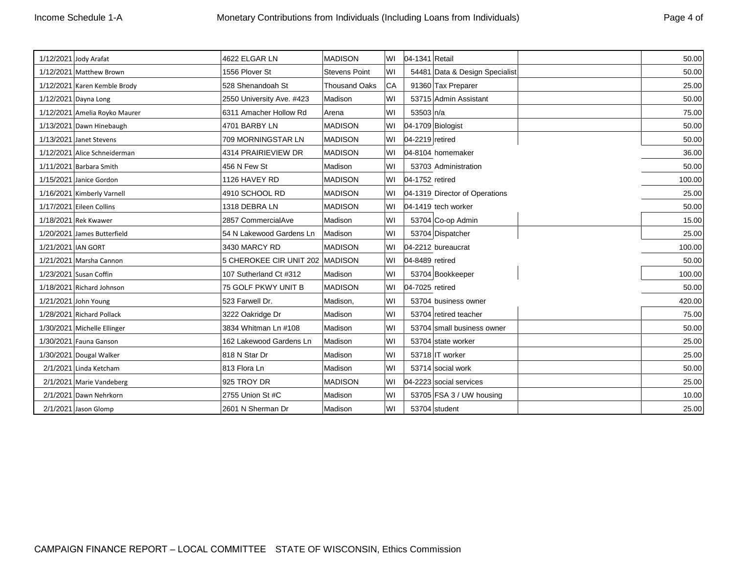| Page 4 of |  |
|-----------|--|
|           |  |

|                    | 1/12/2021 Jody Arafat         | 4622 ELGAR LN                   | <b>MADISON</b>       | WI  | 04-1341 Retail    |                                | 50.00  |
|--------------------|-------------------------------|---------------------------------|----------------------|-----|-------------------|--------------------------------|--------|
|                    | 1/12/2021 Matthew Brown       | 1556 Plover St                  | <b>Stevens Point</b> | lwı |                   | 54481 Data & Design Specialist | 50.00  |
|                    | 1/12/2021 Karen Kemble Brody  | 528 Shenandoah St               | <b>Thousand Oaks</b> | CA  |                   | 91360 Tax Preparer             | 25.00  |
|                    | 1/12/2021 Dayna Long          | 2550 University Ave. #423       | Madison              | WI  |                   | 53715 Admin Assistant          | 50.00  |
|                    | 1/12/2021 Amelia Royko Maurer | 6311 Amacher Hollow Rd          | Arena                | lwı | $53503 \ln/a$     |                                | 75.00  |
|                    | 1/13/2021 Dawn Hinebaugh      | 4701 BARBY LN                   | <b>MADISON</b>       | lwı | 04-1709 Biologist |                                | 50.00  |
|                    | 1/13/2021 Janet Stevens       | 709 MORNINGSTAR LN              | <b>MADISON</b>       | lWI | 04-2219 retired   |                                | 50.00  |
|                    | 1/12/2021 Alice Schneiderman  | 4314 PRAIRIEVIEW DR             | <b>MADISON</b>       | WI  |                   | 04-8104 homemaker              | 36.00  |
|                    | 1/11/2021 Barbara Smith       | 456 N Few St                    | Madison              | lwı |                   | 53703 Administration           | 50.00  |
|                    | 1/15/2021 Janice Gordon       | 1126 HAVEY RD                   | <b>MADISON</b>       | lwı | 04-1752 retired   |                                | 100.00 |
|                    | 1/16/2021 Kimberly Varnell    | 4910 SCHOOL RD                  | <b>MADISON</b>       | WI  |                   | 04-1319 Director of Operations | 25.00  |
|                    | 1/17/2021 Eileen Collins      | 1318 DEBRA LN                   | <b>MADISON</b>       | WI  |                   | 04-1419 tech worker            | 50.00  |
|                    | 1/18/2021 Rek Kwawer          | 2857 CommercialAve              | Madison              | lwı |                   | 53704 Co-op Admin              | 15.00  |
|                    | 1/20/2021 James Butterfield   | 54 N Lakewood Gardens Ln        | Madison              | lwı |                   | 53704 Dispatcher               | 25.00  |
| 1/21/2021 IAN GORT |                               | 3430 MARCY RD                   | <b>MADISON</b>       |     |                   | 04-2212 bureaucrat             | 100.00 |
|                    | 1/21/2021 Marsha Cannon       | 5 CHEROKEE CIR UNIT 202 MADISON |                      | lwı | 04-8489 retired   |                                | 50.00  |
|                    | 1/23/2021 Susan Coffin        | 107 Sutherland Ct #312          | Madison              | WI  |                   | 53704 Bookkeeper               | 100.00 |
|                    | 1/18/2021 Richard Johnson     | 75 GOLF PKWY UNIT B             | <b>MADISON</b>       | lwı | 04-7025 retired   |                                | 50.00  |
|                    | 1/21/2021 John Young          | 523 Farwell Dr.                 | Madison,             | WI  |                   | 53704 business owner           | 420.00 |
|                    | 1/28/2021 Richard Pollack     | 3222 Oakridge Dr                | Madison              | lwı |                   | 53704 retired teacher          | 75.00  |
|                    | 1/30/2021 Michelle Ellinger   | 3834 Whitman Ln #108            | Madison              | lwı |                   | 53704 small business owner     | 50.00  |
|                    | 1/30/2021 Fauna Ganson        | 162 Lakewood Gardens Ln         | Madison              | lwı |                   | 53704 state worker             | 25.00  |
|                    | 1/30/2021 Dougal Walker       | 818 N Star Dr                   | Madison              | lwı |                   | 53718 IT worker                | 25.00  |
|                    | 2/1/2021 Linda Ketcham        | 813 Flora Ln                    | Madison              | lwı |                   | 53714 social work              | 50.00  |
|                    | 2/1/2021 Marie Vandeberg      | 925 TROY DR                     | <b>MADISON</b>       | WI  |                   | 04-2223 social services        | 25.00  |
|                    | 2/1/2021 Dawn Nehrkorn        | 2755 Union St #C                | Madison              | WI  |                   | 53705 FSA 3 / UW housing       | 10.00  |
|                    | 2/1/2021 Jason Glomp          | 2601 N Sherman Dr               | Madison              | WI  |                   | 53704 student                  | 25.00  |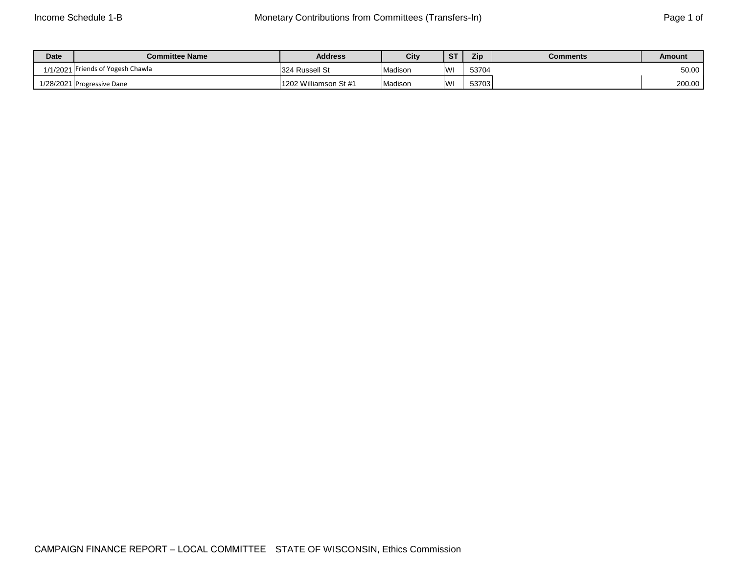| Date      | <b>Committee Name</b>    | <b>Address</b>        | City    | <b>ST</b> | Zip   | <b>Comments</b> | Amount |
|-----------|--------------------------|-----------------------|---------|-----------|-------|-----------------|--------|
| 1/1/2021  | Friends of Yogesh Chawla | 324 Russell St        | Madison | WI        | 53704 |                 | 50.00  |
| 1/28/2021 | <b>Progressive Dane</b>  | 1202 Williamson St #1 | Madisor | WI        | 53703 |                 | 200.00 |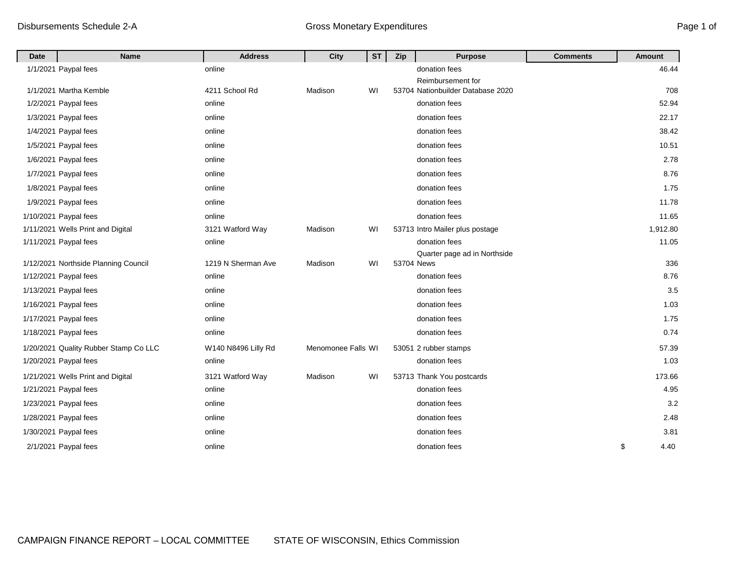| <b>Date</b> | <b>Name</b>                           | <b>Address</b>      | City               | <b>ST</b> | Zip        | <b>Purpose</b>                    | <b>Comments</b> | Amount     |
|-------------|---------------------------------------|---------------------|--------------------|-----------|------------|-----------------------------------|-----------------|------------|
|             | 1/1/2021 Paypal fees                  | online              |                    |           |            | donation fees                     |                 | 46.44      |
|             |                                       |                     |                    |           |            | Reimbursement for                 |                 |            |
|             | 1/1/2021 Martha Kemble                | 4211 School Rd      | Madison            | WI        |            | 53704 Nationbuilder Database 2020 |                 | 708        |
|             | 1/2/2021 Paypal fees                  | online              |                    |           |            | donation fees                     |                 | 52.94      |
|             | 1/3/2021 Paypal fees                  | online              |                    |           |            | donation fees                     |                 | 22.17      |
|             | 1/4/2021 Paypal fees                  | online              |                    |           |            | donation fees                     |                 | 38.42      |
|             | 1/5/2021 Paypal fees                  | online              |                    |           |            | donation fees                     |                 | 10.51      |
|             | 1/6/2021 Paypal fees                  | online              |                    |           |            | donation fees                     |                 | 2.78       |
|             | 1/7/2021 Paypal fees                  | online              |                    |           |            | donation fees                     |                 | 8.76       |
|             | 1/8/2021 Paypal fees                  | online              |                    |           |            | donation fees                     |                 | 1.75       |
|             | 1/9/2021 Paypal fees                  | online              |                    |           |            | donation fees                     |                 | 11.78      |
|             | 1/10/2021 Paypal fees                 | online              |                    |           |            | donation fees                     |                 | 11.65      |
|             | 1/11/2021 Wells Print and Digital     | 3121 Watford Way    | Madison            | WI        |            | 53713 Intro Mailer plus postage   |                 | 1,912.80   |
|             | 1/11/2021 Paypal fees                 | online              |                    |           |            | donation fees                     |                 | 11.05      |
|             | 1/12/2021 Northside Planning Council  | 1219 N Sherman Ave  | Madison            | WI        | 53704 News | Quarter page ad in Northside      |                 | 336        |
|             | 1/12/2021 Paypal fees                 | online              |                    |           |            | donation fees                     |                 | 8.76       |
|             | 1/13/2021 Paypal fees                 | online              |                    |           |            | donation fees                     |                 | 3.5        |
|             | 1/16/2021 Paypal fees                 | online              |                    |           |            | donation fees                     |                 | 1.03       |
|             | 1/17/2021 Paypal fees                 | online              |                    |           |            | donation fees                     |                 | 1.75       |
|             | 1/18/2021 Paypal fees                 | online              |                    |           |            | donation fees                     |                 | 0.74       |
|             | 1/20/2021 Quality Rubber Stamp Co LLC | W140 N8496 Lilly Rd | Menomonee Falls WI |           |            | 53051 2 rubber stamps             |                 | 57.39      |
|             | 1/20/2021 Paypal fees                 | online              |                    |           |            | donation fees                     |                 | 1.03       |
|             | 1/21/2021 Wells Print and Digital     | 3121 Watford Way    | Madison            | WI        |            | 53713 Thank You postcards         |                 | 173.66     |
|             | 1/21/2021 Paypal fees                 | online              |                    |           |            | donation fees                     |                 | 4.95       |
|             | 1/23/2021 Paypal fees                 | online              |                    |           |            | donation fees                     |                 | 3.2        |
|             | 1/28/2021 Paypal fees                 | online              |                    |           |            | donation fees                     |                 | 2.48       |
|             | 1/30/2021 Paypal fees                 | online              |                    |           |            | donation fees                     |                 | 3.81       |
|             | 2/1/2021 Paypal fees                  | online              |                    |           |            | donation fees                     |                 | \$<br>4.40 |